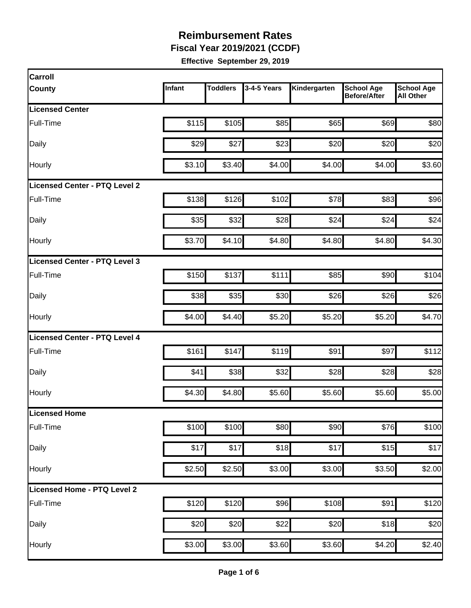**Fiscal Year 2019/2021 (CCDF)** 

| Carroll                       |        |                 |             |              |                                          |                                       |
|-------------------------------|--------|-----------------|-------------|--------------|------------------------------------------|---------------------------------------|
| <b>County</b>                 | Infant | <b>Toddlers</b> | 3-4-5 Years | Kindergarten | <b>School Age</b><br><b>Before/After</b> | <b>School Age</b><br><b>All Other</b> |
| <b>Licensed Center</b>        |        |                 |             |              |                                          |                                       |
| Full-Time                     | \$115  | \$105           | \$85        | \$65         | \$69                                     | \$80                                  |
| Daily                         | \$29   | \$27            | \$23        | \$20         | \$20                                     | \$20                                  |
| Hourly                        | \$3.10 | \$3.40          | \$4.00      | \$4.00       | \$4.00                                   | \$3.60                                |
| Licensed Center - PTQ Level 2 |        |                 |             |              |                                          |                                       |
| Full-Time                     | \$138  | \$126           | \$102       | \$78         | \$83                                     | \$96                                  |
| Daily                         | \$35   | \$32            | \$28        | \$24         | \$24                                     | \$24                                  |
| Hourly                        | \$3.70 | \$4.10          | \$4.80      | \$4.80       | \$4.80                                   | \$4.30                                |
| Licensed Center - PTQ Level 3 |        |                 |             |              |                                          |                                       |
| Full-Time                     | \$150  | \$137           | \$111       | \$85         | \$90                                     | \$104                                 |
| Daily                         | \$38   | \$35            | \$30        | \$26         | \$26                                     | \$26                                  |
| Hourly                        | \$4.00 | \$4.40          | \$5.20      | \$5.20       | \$5.20                                   | \$4.70                                |
| Licensed Center - PTQ Level 4 |        |                 |             |              |                                          |                                       |
| Full-Time                     | \$161  | \$147           | \$119       | \$91         | \$97                                     | \$112                                 |
| Daily                         | \$41   | \$38            | \$32        | \$28         | \$28                                     | \$28                                  |
| Hourly                        | \$4.30 | \$4.80          | \$5.60      | \$5.60       | \$5.60                                   | \$5.00                                |
| <b>Licensed Home</b>          |        |                 |             |              |                                          |                                       |
| Full-Time                     | \$100  | \$100           | \$80        | \$90         | \$76                                     | \$100                                 |
| Daily                         | \$17   | \$17            | \$18        | \$17         | \$15                                     | \$17                                  |
| Hourly                        | \$2.50 | \$2.50          | \$3.00      | \$3.00       | \$3.50                                   | \$2.00                                |
| Licensed Home - PTQ Level 2   |        |                 |             |              |                                          |                                       |
| Full-Time                     | \$120  | \$120           | \$96        | \$108        | \$91                                     | \$120                                 |
| Daily                         | \$20   | \$20            | \$22        | \$20         | \$18                                     | \$20                                  |
| Hourly                        | \$3.00 | \$3.00          | \$3.60      | \$3.60       | \$4.20                                   | \$2.40                                |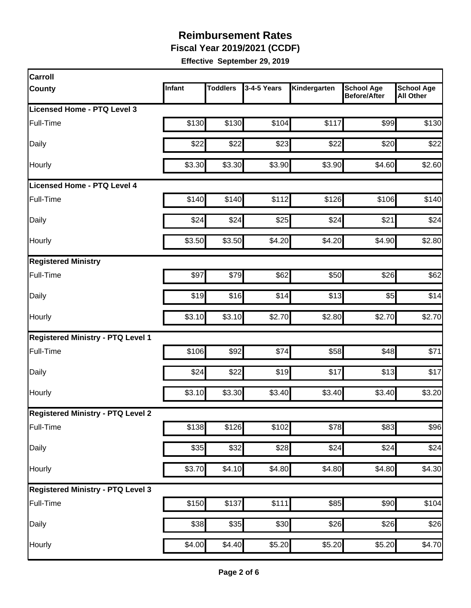**Fiscal Year 2019/2021 (CCDF)** 

| <b>Carroll</b>                           |        |                 |                  |              |                                          |                                       |
|------------------------------------------|--------|-----------------|------------------|--------------|------------------------------------------|---------------------------------------|
| <b>County</b>                            | Infant | <b>Toddlers</b> | 3-4-5 Years      | Kindergarten | <b>School Age</b><br><b>Before/After</b> | <b>School Age</b><br><b>All Other</b> |
| Licensed Home - PTQ Level 3              |        |                 |                  |              |                                          |                                       |
| Full-Time                                | \$130  | \$130           | \$104            | \$117        | \$99                                     | \$130                                 |
| Daily                                    | \$22   | \$22            | \$23             | \$22         | \$20                                     | \$22                                  |
| Hourly                                   | \$3.30 | \$3.30          | \$3.90           | \$3.90       | \$4.60                                   | \$2.60                                |
| <b>Licensed Home - PTQ Level 4</b>       |        |                 |                  |              |                                          |                                       |
| Full-Time                                | \$140  | \$140           | \$112            | \$126        | \$106                                    | \$140                                 |
| Daily                                    | \$24   | \$24            | \$25             | \$24         | \$21                                     | \$24                                  |
| Hourly                                   | \$3.50 | \$3.50          | \$4.20           | \$4.20       | \$4.90                                   | \$2.80                                |
| <b>Registered Ministry</b>               |        |                 |                  |              |                                          |                                       |
| Full-Time                                | \$97   | \$79            | \$62             | \$50         | \$26                                     | \$62                                  |
| Daily                                    | \$19   | \$16            | \$14             | \$13         | \$5                                      | \$14                                  |
| Hourly                                   | \$3.10 | \$3.10          | \$2.70           | \$2.80       | \$2.70                                   | \$2.70                                |
| <b>Registered Ministry - PTQ Level 1</b> |        |                 |                  |              |                                          |                                       |
| Full-Time                                | \$106  | \$92            | \$74             | \$58         | \$48                                     | \$71                                  |
| Daily                                    | \$24   | \$22            | \$19             | \$17         | \$13                                     | \$17                                  |
| Hourly                                   | \$3.10 | \$3.30          | \$3.40           | \$3.40       | \$3.40                                   | \$3.20                                |
| <b>Registered Ministry - PTQ Level 2</b> |        |                 |                  |              |                                          |                                       |
| Full-Time                                | \$138  | \$126           | \$102            | \$78         | \$83                                     | \$96                                  |
| Daily                                    | \$35   | \$32]           | \$28             | \$24         | \$24                                     | \$24                                  |
| Hourly                                   | \$3.70 | \$4.10          | \$4.80           | \$4.80       | \$4.80                                   | \$4.30                                |
| <b>Registered Ministry - PTQ Level 3</b> |        |                 |                  |              |                                          |                                       |
| Full-Time                                | \$150  | \$137           | \$111            | \$85         | \$90                                     | \$104                                 |
| Daily                                    | \$38   | \$35            | $\overline{$}30$ | \$26         | $\overline{$}26$                         | \$26                                  |
| Hourly                                   | \$4.00 | \$4.40          | \$5.20           | \$5.20       | \$5.20                                   | \$4.70                                |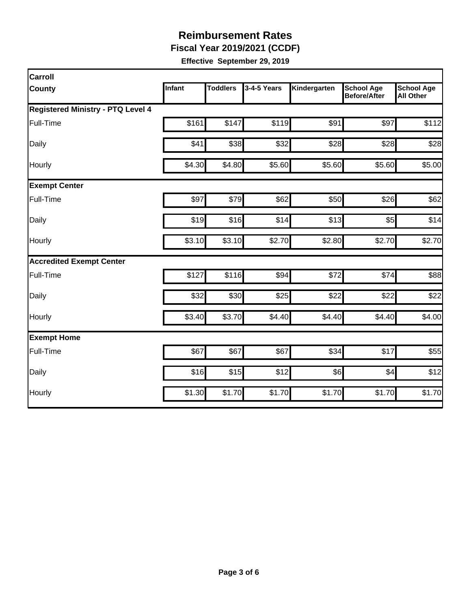**Fiscal Year 2019/2021 (CCDF)** 

| Carroll                                  |        |                 |             |              |                                          |                                       |  |  |  |
|------------------------------------------|--------|-----------------|-------------|--------------|------------------------------------------|---------------------------------------|--|--|--|
| <b>County</b>                            | Infant | <b>Toddlers</b> | 3-4-5 Years | Kindergarten | <b>School Age</b><br><b>Before/After</b> | <b>School Age</b><br><b>All Other</b> |  |  |  |
| <b>Registered Ministry - PTQ Level 4</b> |        |                 |             |              |                                          |                                       |  |  |  |
| Full-Time                                | \$161  | \$147           | \$119       | \$91         | \$97                                     | \$112                                 |  |  |  |
| Daily                                    | \$41   | \$38            | \$32        | \$28         | \$28                                     | \$28                                  |  |  |  |
| Hourly                                   | \$4.30 | \$4.80          | \$5.60      | \$5.60       | \$5.60                                   | \$5.00                                |  |  |  |
| <b>Exempt Center</b>                     |        |                 |             |              |                                          |                                       |  |  |  |
| Full-Time                                | \$97   | \$79            | \$62        | \$50         | \$26                                     | \$62                                  |  |  |  |
| Daily                                    | \$19   | \$16            | \$14        | \$13         | \$5                                      | \$14                                  |  |  |  |
| Hourly                                   | \$3.10 | \$3.10          | \$2.70      | \$2.80       | \$2.70                                   | \$2.70                                |  |  |  |
| <b>Accredited Exempt Center</b>          |        |                 |             |              |                                          |                                       |  |  |  |
| Full-Time                                | \$127  | \$116           | \$94        | \$72         | \$74                                     | \$88                                  |  |  |  |
| Daily                                    | \$32   | \$30            | \$25        | \$22         | \$22                                     | \$22                                  |  |  |  |
| Hourly                                   | \$3.40 | \$3.70          | \$4.40      | \$4.40       | \$4.40                                   | \$4.00                                |  |  |  |
| <b>Exempt Home</b>                       |        |                 |             |              |                                          |                                       |  |  |  |
| Full-Time                                | \$67   | \$67            | \$67        | \$34         | \$17                                     | \$55                                  |  |  |  |
| Daily                                    | \$16   | \$15            | \$12        | \$6          | \$4                                      | \$12                                  |  |  |  |
| Hourly                                   | \$1.30 | \$1.70          | \$1.70      | \$1.70       | \$1.70                                   | \$1.70                                |  |  |  |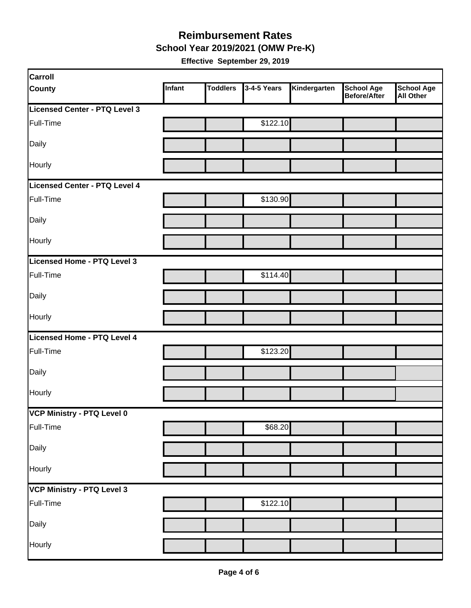#### **Reimbursement Rates School Year 2019/2021 (OMW Pre-K)**

|  | Effective September 29, 2019 |  |  |
|--|------------------------------|--|--|
|--|------------------------------|--|--|

| <b>Carroll</b>                |        |                 |             |              |                                   |                         |
|-------------------------------|--------|-----------------|-------------|--------------|-----------------------------------|-------------------------|
| <b>County</b>                 | Infant | <b>Toddlers</b> | 3-4-5 Years | Kindergarten | <b>School Age</b><br>Before/After | School Age<br>All Other |
| Licensed Center - PTQ Level 3 |        |                 |             |              |                                   |                         |
| Full-Time                     |        |                 | \$122.10    |              |                                   |                         |
| Daily                         |        |                 |             |              |                                   |                         |
| Hourly                        |        |                 |             |              |                                   |                         |
| Licensed Center - PTQ Level 4 |        |                 |             |              |                                   |                         |
| Full-Time                     |        |                 | \$130.90    |              |                                   |                         |
| Daily                         |        |                 |             |              |                                   |                         |
| Hourly                        |        |                 |             |              |                                   |                         |
| Licensed Home - PTQ Level 3   |        |                 |             |              |                                   |                         |
| Full-Time                     |        |                 | \$114.40    |              |                                   |                         |
| Daily                         |        |                 |             |              |                                   |                         |
| Hourly                        |        |                 |             |              |                                   |                         |
| Licensed Home - PTQ Level 4   |        |                 |             |              |                                   |                         |
| Full-Time                     |        |                 | \$123.20    |              |                                   |                         |
| Daily                         |        |                 |             |              |                                   |                         |
| Hourly                        |        |                 |             |              |                                   |                         |
| VCP Ministry - PTQ Level 0    |        |                 |             |              |                                   |                         |
| Full-Time                     |        |                 | \$68.20     |              |                                   |                         |
| Daily                         |        |                 |             |              |                                   |                         |
| Hourly                        |        |                 |             |              |                                   |                         |
| VCP Ministry - PTQ Level 3    |        |                 |             |              |                                   |                         |
| Full-Time                     |        |                 | \$122.10    |              |                                   |                         |
| Daily                         |        |                 |             |              |                                   |                         |
| Hourly                        |        |                 |             |              |                                   |                         |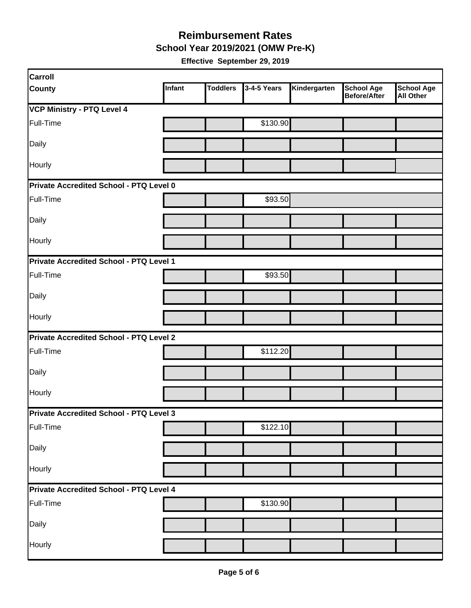**School Year 2019/2021 (OMW Pre-K)** 

| Carroll                                        |        |                 |             |              |                                   |                                       |
|------------------------------------------------|--------|-----------------|-------------|--------------|-----------------------------------|---------------------------------------|
| <b>County</b>                                  | Infant | <b>Toddlers</b> | 3-4-5 Years | Kindergarten | <b>School Age</b><br>Before/After | <b>School Age</b><br><b>All Other</b> |
| <b>VCP Ministry - PTQ Level 4</b>              |        |                 |             |              |                                   |                                       |
| Full-Time                                      |        |                 | \$130.90    |              |                                   |                                       |
| Daily                                          |        |                 |             |              |                                   |                                       |
| Hourly                                         |        |                 |             |              |                                   |                                       |
| Private Accredited School - PTQ Level 0        |        |                 |             |              |                                   |                                       |
| Full-Time                                      |        |                 | \$93.50     |              |                                   |                                       |
| Daily                                          |        |                 |             |              |                                   |                                       |
| Hourly                                         |        |                 |             |              |                                   |                                       |
| Private Accredited School - PTQ Level 1        |        |                 |             |              |                                   |                                       |
| Full-Time                                      |        |                 | \$93.50     |              |                                   |                                       |
| Daily                                          |        |                 |             |              |                                   |                                       |
| Hourly                                         |        |                 |             |              |                                   |                                       |
| <b>Private Accredited School - PTQ Level 2</b> |        |                 |             |              |                                   |                                       |
| Full-Time                                      |        |                 | \$112.20    |              |                                   |                                       |
| Daily                                          |        |                 |             |              |                                   |                                       |
| Hourly                                         |        |                 |             |              |                                   |                                       |
| <b>Private Accredited School - PTQ Level 3</b> |        |                 |             |              |                                   |                                       |
| Full-Time                                      |        |                 | \$122.10    |              |                                   |                                       |
| Daily                                          |        |                 |             |              |                                   |                                       |
| Hourly                                         |        |                 |             |              |                                   |                                       |
| Private Accredited School - PTQ Level 4        |        |                 |             |              |                                   |                                       |
| Full-Time                                      |        |                 | \$130.90    |              |                                   |                                       |
| Daily                                          |        |                 |             |              |                                   |                                       |
| Hourly                                         |        |                 |             |              |                                   |                                       |